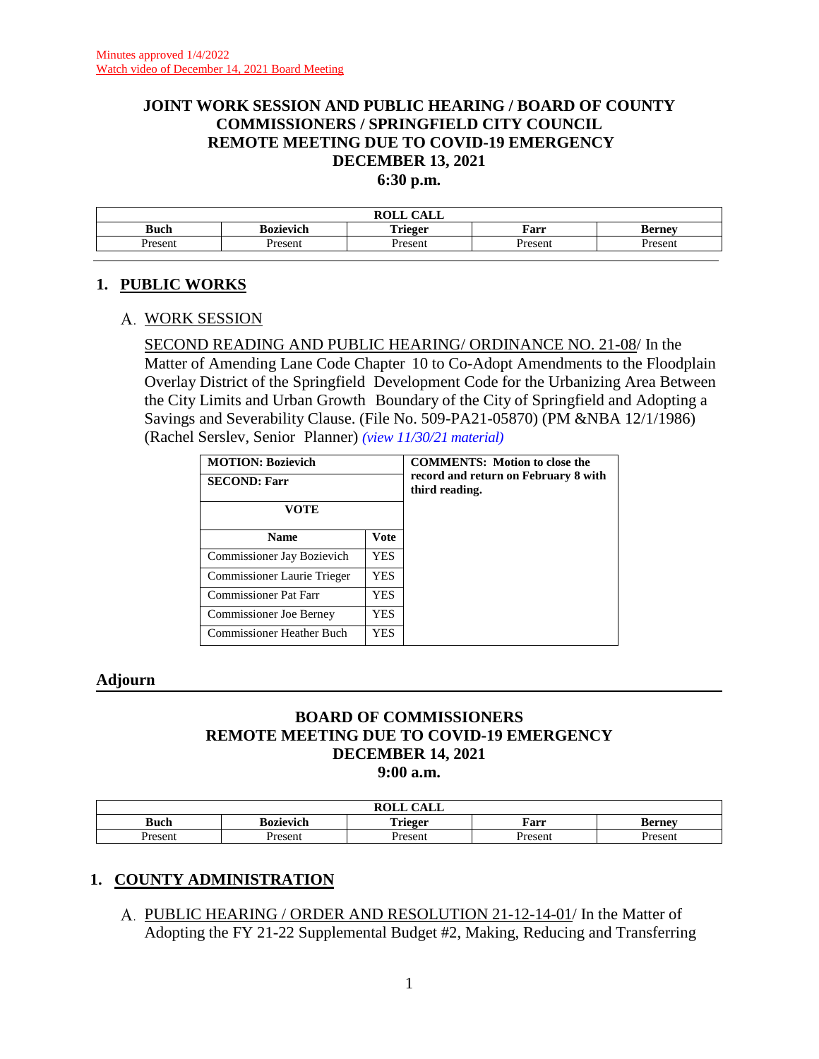# **JOINT WORK SESSION AND PUBLIC HEARING / BOARD OF COUNTY COMMISSIONERS / SPRINGFIELD CITY COUNCIL REMOTE MEETING DUE TO COVID-19 EMERGENCY DECEMBER 13, 2021**

**6:30 p.m.**

| $\sqrt{1 + T}$<br><b>ROLI</b><br>САЫЛ |                                                             |  |  |  |  |  |  |
|---------------------------------------|-------------------------------------------------------------|--|--|--|--|--|--|
| Buch                                  | <b>Trieger</b><br><b>Bozievich</b><br>Farr<br><b>Berney</b> |  |  |  |  |  |  |
| resent                                | Present<br>$\Gamma$ resent<br>Present<br>Present            |  |  |  |  |  |  |
|                                       |                                                             |  |  |  |  |  |  |

#### **1. PUBLIC WORKS**

#### WORK SESSION

SECOND READING AND PUBLIC HEARING/ ORDINANCE NO. 21-08/ In the Matter of Amending Lane Code Chapter 10 to Co-Adopt Amendments to the Floodplain Overlay District of the Springfield Development Code for the Urbanizing Area Between the City Limits and Urban Growth Boundary of the City of Springfield and Adopting a Savings and Severability Clause. (File No. 509-PA21-05870) (PM &NBA 12/1/1986) (Rachel Serslev, Senior Planner) *[\(view 11/30/21](http://www.lanecountyor.gov/UserFiles/Servers/Server_3585797/File/Government/BCC/2021/2021_AGENDAS/113021agenda/T.7.B.pdf) material)*

| <b>MOTION: Bozievich</b>         |             | <b>COMMENTS:</b> Motion to close the<br>record and return on February 8 with<br>third reading. |
|----------------------------------|-------------|------------------------------------------------------------------------------------------------|
| <b>SECOND: Farr</b>              |             |                                                                                                |
| VOTE                             |             |                                                                                                |
| <b>Name</b>                      | <b>Vote</b> |                                                                                                |
| Commissioner Jay Bozievich       | <b>YES</b>  |                                                                                                |
| Commissioner Laurie Trieger      | YES.        |                                                                                                |
| Commissioner Pat Farr            | YES.        |                                                                                                |
| <b>Commissioner Joe Berney</b>   | YES.        |                                                                                                |
| <b>Commissioner Heather Buch</b> | YES.        |                                                                                                |

#### **Adjourn**

#### **BOARD OF COMMISSIONERS REMOTE MEETING DUE TO COVID-19 EMERGENCY DECEMBER 14, 2021 9:00 a.m.**

| $\bigcap$ $\bigcap$ $\bigcap$<br>DAT T<br>KULL<br>САЫЛ |                                                                                    |                |         |               |  |  |
|--------------------------------------------------------|------------------------------------------------------------------------------------|----------------|---------|---------------|--|--|
| $\mathbf{r}$<br>Buch                                   | m<br>$\mathbf{r}$<br>Farr<br>'rieger<br><b>Bernev</b><br>Bozievich<br><b>ALLEY</b> |                |         |               |  |  |
| Present                                                | Present                                                                            | <b>Present</b> | Present | <i>resent</i> |  |  |

### **1. COUNTY ADMINISTRATION**

A. PUBLIC HEARING / ORDER AND RESOLUTION 21-12-14-01/ In the Matter of Adopting the FY 21-22 Supplemental Budget #2, Making, Reducing and Transferring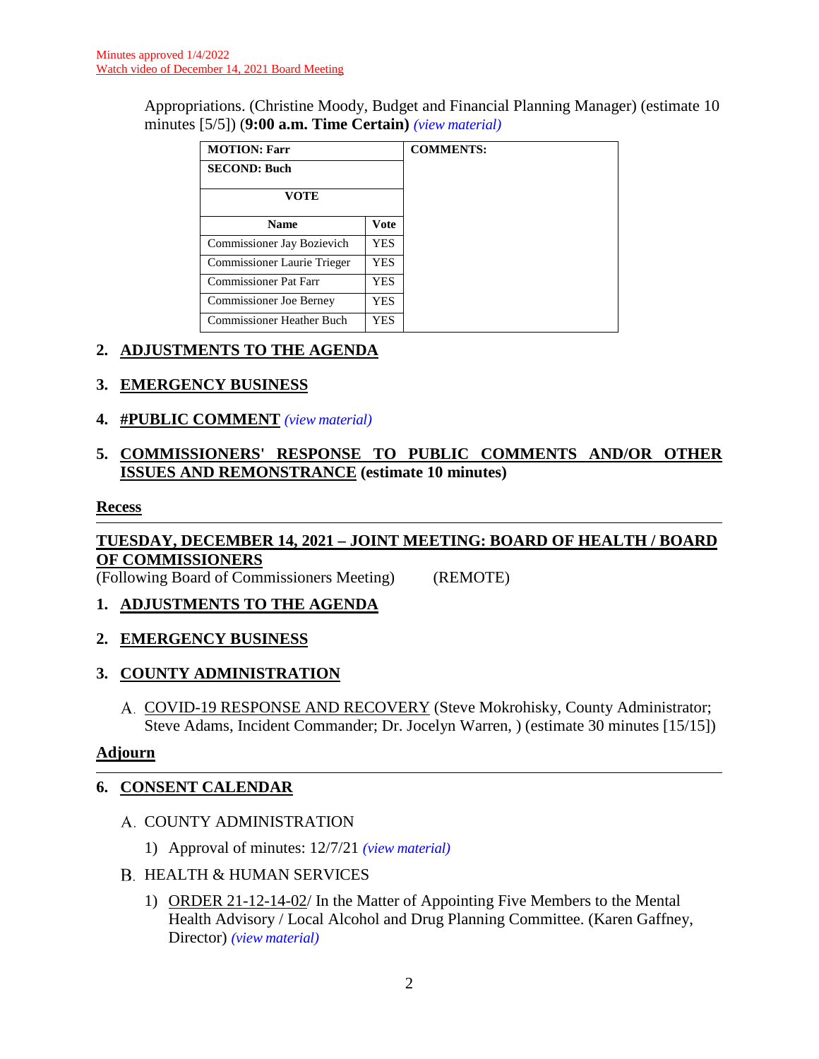Appropriations. (Christine Moody, Budget and Financial Planning Manager) (estimate 10 minutes [5/5]) (**9:00 a.m. Time Certain)** *(view [material\)](http://www.lanecountyor.gov/UserFiles/Servers/Server_3585797/File/Government/BCC/2021/2021_AGENDAS/121421agenda/T.1.A.pdf)*

| <b>MOTION: Farr</b>                 |            | <b>COMMENTS:</b> |
|-------------------------------------|------------|------------------|
| <b>SECOND: Buch</b>                 |            |                  |
| <b>VOTE</b>                         |            |                  |
| <b>Name</b>                         | Vote       |                  |
| Commissioner Jay Bozievich          | <b>YES</b> |                  |
| Commissioner Laurie Trieger         | YES.       |                  |
| Commissioner Pat Farr<br><b>YES</b> |            |                  |
| <b>Commissioner Joe Berney</b>      | YES        |                  |
| Commissioner Heather Buch           | YES        |                  |

## **2. ADJUSTMENTS TO THE AGENDA**

### **3. EMERGENCY BUSINESS**

**4. #PUBLIC COMMENT** *(view [material\)](http://www.lanecountyor.gov/UserFiles/Servers/Server_3585797/File/Government/BCC/2021/2021_AGENDAS/121421agenda/T.4.pdf)*

## **5. COMMISSIONERS' RESPONSE TO PUBLIC COMMENTS AND/OR OTHER ISSUES AND REMONSTRANCE (estimate 10 minutes)**

#### **Recess**

# **TUESDAY, DECEMBER 14, 2021 – JOINT MEETING: BOARD OF HEALTH / BOARD OF COMMISSIONERS**

(Following Board of Commissioners Meeting) (REMOTE)

### **1. ADJUSTMENTS TO THE AGENDA**

### **2. EMERGENCY BUSINESS**

### **3. COUNTY ADMINISTRATION**

COVID-19 RESPONSE AND RECOVERY (Steve Mokrohisky, County Administrator; Steve Adams, Incident Commander; Dr. Jocelyn Warren, ) (estimate 30 minutes [15/15])

### **Adjourn**

### **6. CONSENT CALENDAR**

- A. COUNTY ADMINISTRATION
	- 1) Approval of minutes: 12/7/21 *(view [material\)](http://www.lanecountyor.gov/UserFiles/Servers/Server_3585797/File/Government/BCC/2021/2021_AGENDAS/121421agenda/T.6.A.1.pdf)*

#### B. HEALTH & HUMAN SERVICES

1) ORDER 21-12-14-02/ In the Matter of Appointing Five Members to the Mental Health Advisory / Local Alcohol and Drug Planning Committee. (Karen Gaffney, Director) *(view [material\)](http://www.lanecountyor.gov/UserFiles/Servers/Server_3585797/File/Government/BCC/2021/2021_AGENDAS/121421agenda/T.6.B.1.pdf)*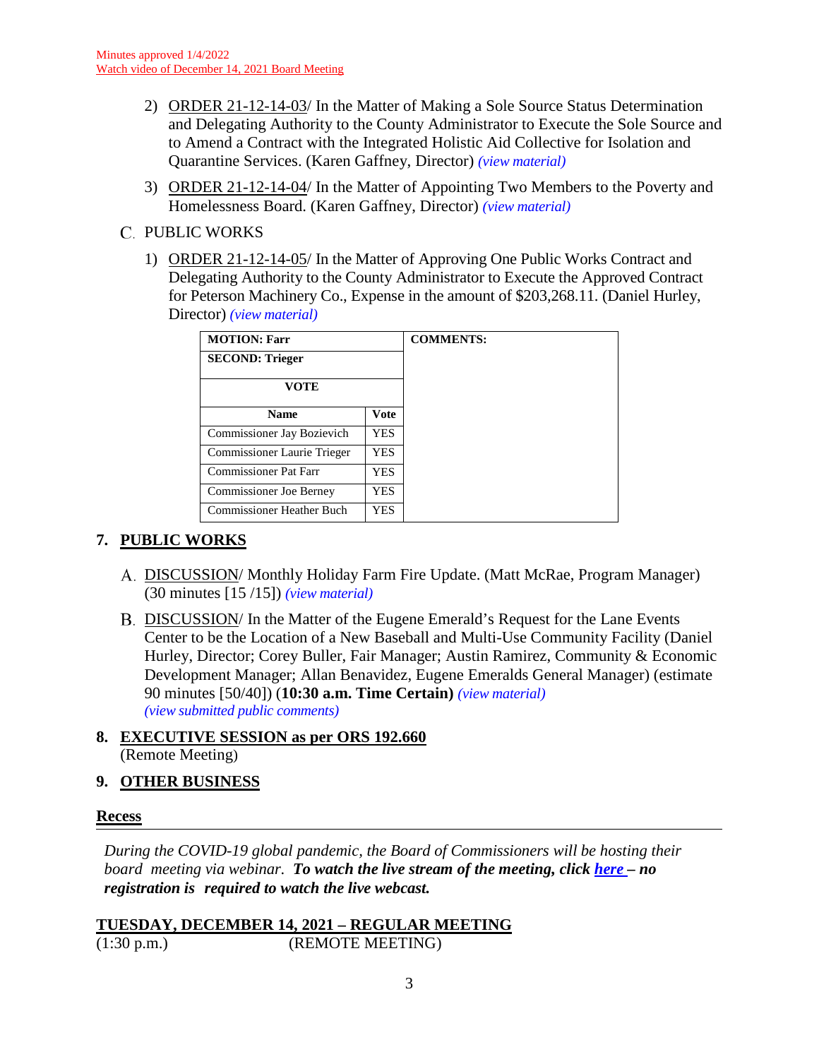- 2) ORDER 21-12-14-03/ In the Matter of Making a Sole Source Status Determination and Delegating Authority to the County Administrator to Execute the Sole Source and to Amend a Contract with the Integrated Holistic Aid Collective for Isolation and Quarantine Services. (Karen Gaffney, Director) *(view [material\)](http://www.lanecountyor.gov/UserFiles/Servers/Server_3585797/File/Government/BCC/2021/2021_AGENDAS/121421agenda/T.6.B.2.pdf)*
- 3) ORDER 21-12-14-04/ In the Matter of Appointing Two Members to the Poverty and Homelessness Board. (Karen Gaffney, Director) *(view [material\)](http://www.lanecountyor.gov/UserFiles/Servers/Server_3585797/File/Government/BCC/2021/2021_AGENDAS/121421agenda/T.6.B.3.pdf)*
- C. PUBLIC WORKS
	- 1) ORDER 21-12-14-05/ In the Matter of Approving One Public Works Contract and Delegating Authority to the County Administrator to Execute the Approved Contract for Peterson Machinery Co., Expense in the amount of \$203,268.11. (Daniel Hurley, Director) *(view [material\)](http://www.lanecountyor.gov/UserFiles/Servers/Server_3585797/File/Government/BCC/2021/2021_AGENDAS/121421agenda/T.6.C.1.pdf)*

| <b>MOTION: Farr</b>                 |     | <b>COMMENTS:</b> |
|-------------------------------------|-----|------------------|
| <b>SECOND: Trieger</b>              |     |                  |
| <b>VOTE</b>                         |     |                  |
| <b>Vote</b><br><b>Name</b>          |     |                  |
| Commissioner Jay Bozievich          | YES |                  |
| Commissioner Laurie Trieger         | YES |                  |
| <b>Commissioner Pat Farr</b><br>YES |     |                  |
| Commissioner Joe Berney             | YES |                  |
| <b>Commissioner Heather Buch</b>    | YES |                  |

# **7. PUBLIC WORKS**

- DISCUSSION/ Monthly Holiday Farm Fire Update. (Matt McRae, Program Manager) (30 minutes [15 /15]) *(view [material\)](http://www.lanecountyor.gov/UserFiles/Servers/Server_3585797/File/Government/BCC/2021/2021_AGENDAS/121421agenda/T.7.A.pdf)*
- DISCUSSION/ In the Matter of the Eugene Emerald's Request for the Lane Events Center to be the Location of a New Baseball and Multi-Use Community Facility (Daniel Hurley, Director; Corey Buller, Fair Manager; Austin Ramirez, Community & Economic Development Manager; Allan Benavidez, Eugene Emeralds General Manager) (estimate 90 minutes [50/40]) (**10:30 a.m. Time Certain)** *(view [material\)](http://www.lanecountyor.gov/UserFiles/Servers/Server_3585797/File/Government/BCC/2021/2021_AGENDAS/121421agenda/T.7.B.pdf)  (view [submitted public comments\)](http://www.lanecountyor.gov/UserFiles/Servers/Server_3585797/File/Government/BCC/2021/2021_AGENDAS/121421agenda/EmeraldTestimony.pdf)*
- **8. EXECUTIVE SESSION as per ORS 192.660** (Remote Meeting)

### **9. OTHER BUSINESS**

#### **Recess**

*During the COVID-19 global pandemic, the Board of Commissioners will be hosting their board meeting via webinar. To watch the live stream of the meeting, click [here](https://lanecounty.org/cms/One.aspx?portalId=3585881&pageId=7842434) – no registration is required to watch the live webcast.*

**TUESDAY, DECEMBER 14, 2021 – REGULAR MEETING** (1:30 p.m.) (REMOTE MEETING)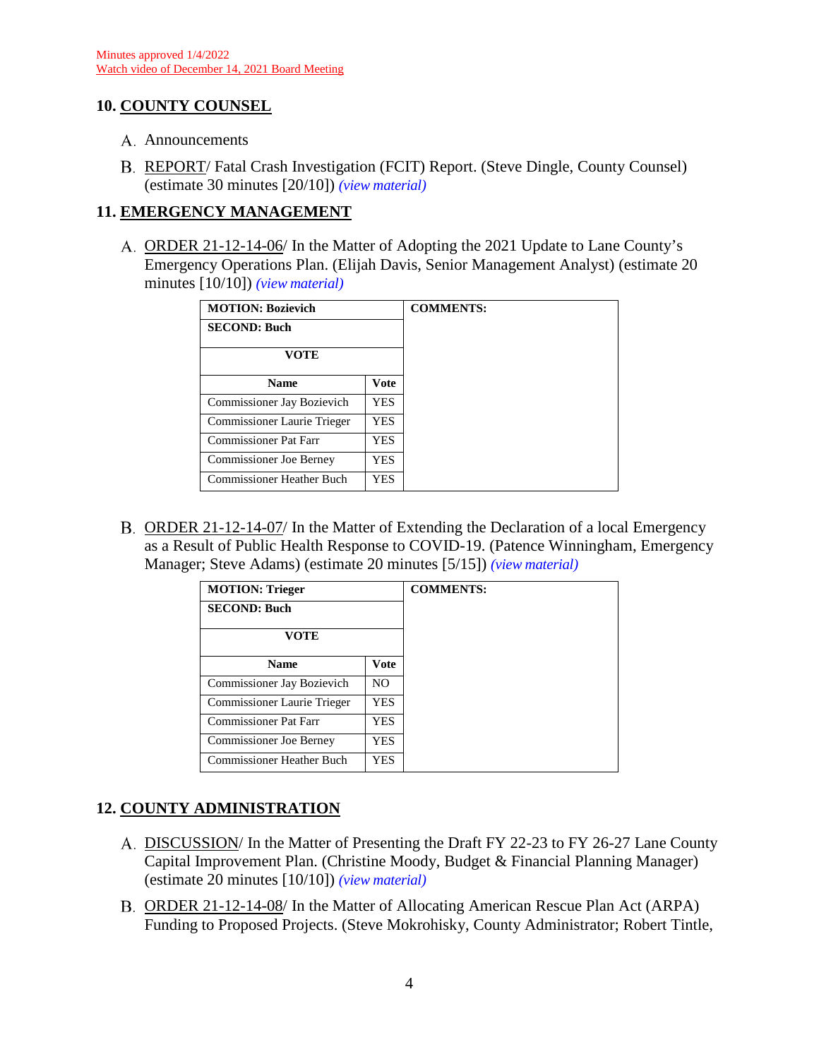### **10. COUNTY COUNSEL**

- A. Announcements
- REPORT/ Fatal Crash Investigation (FCIT) Report. (Steve Dingle, County Counsel) (estimate 30 minutes [20/10]) *(view [material\)](http://www.lanecountyor.gov/UserFiles/Servers/Server_3585797/File/Government/BCC/2021/2021_AGENDAS/121421agenda/T.10.B.pdf)*

## **11. EMERGENCY MANAGEMENT**

ORDER 21-12-14-06/ In the Matter of Adopting the 2021 Update to Lane County's Emergency Operations Plan. (Elijah Davis, Senior Management Analyst) (estimate 20 minutes [10/10]) *(view [material\)](http://www.lanecountyor.gov/UserFiles/Servers/Server_3585797/File/Government/BCC/2021/2021_AGENDAS/121421agenda/T.11.A.pdf)*

| <b>MOTION: Bozievich</b>       |             |  |
|--------------------------------|-------------|--|
| <b>SECOND: Buch</b>            |             |  |
| VOTE                           |             |  |
| <b>Name</b>                    | <b>Vote</b> |  |
| Commissioner Jay Bozievich     | YES.        |  |
| Commissioner Laurie Trieger    | YES.        |  |
| Commissioner Pat Farr          | <b>YES</b>  |  |
| <b>Commissioner Joe Berney</b> | YES.        |  |
| Commissioner Heather Buch      | YES.        |  |

B. ORDER 21-12-14-07/ In the Matter of Extending the Declaration of a local Emergency as a Result of Public Health Response to COVID-19. (Patence Winningham, Emergency Manager; Steve Adams) (estimate 20 minutes [5/15]) *(view [material\)](http://www.lanecountyor.gov/UserFiles/Servers/Server_3585797/File/Government/BCC/2021/2021_AGENDAS/121421agenda/T.11.B.pdf)*

| <b>MOTION: Trieger</b>           |                | <b>COMMENTS:</b> |
|----------------------------------|----------------|------------------|
| <b>SECOND: Buch</b>              |                |                  |
| <b>VOTE</b>                      |                |                  |
| <b>Name</b>                      | Vote           |                  |
| Commissioner Jay Bozievich       | N <sub>O</sub> |                  |
| Commissioner Laurie Trieger      | YES            |                  |
| Commissioner Pat Farr            | YES            |                  |
| <b>Commissioner Joe Berney</b>   | YES            |                  |
| <b>Commissioner Heather Buch</b> | YES            |                  |

# **12. COUNTY ADMINISTRATION**

- A. DISCUSSION/ In the Matter of Presenting the Draft FY 22-23 to FY 26-27 Lane County Capital Improvement Plan. (Christine Moody, Budget & Financial Planning Manager) (estimate 20 minutes [10/10]) *(view [material\)](http://www.lanecountyor.gov/UserFiles/Servers/Server_3585797/File/Government/BCC/2021/2021_AGENDAS/121421agenda/T.12.A.pdf)*
- ORDER 21-12-14-08/ In the Matter of Allocating American Rescue Plan Act (ARPA) Funding to Proposed Projects. (Steve Mokrohisky, County Administrator; Robert Tintle,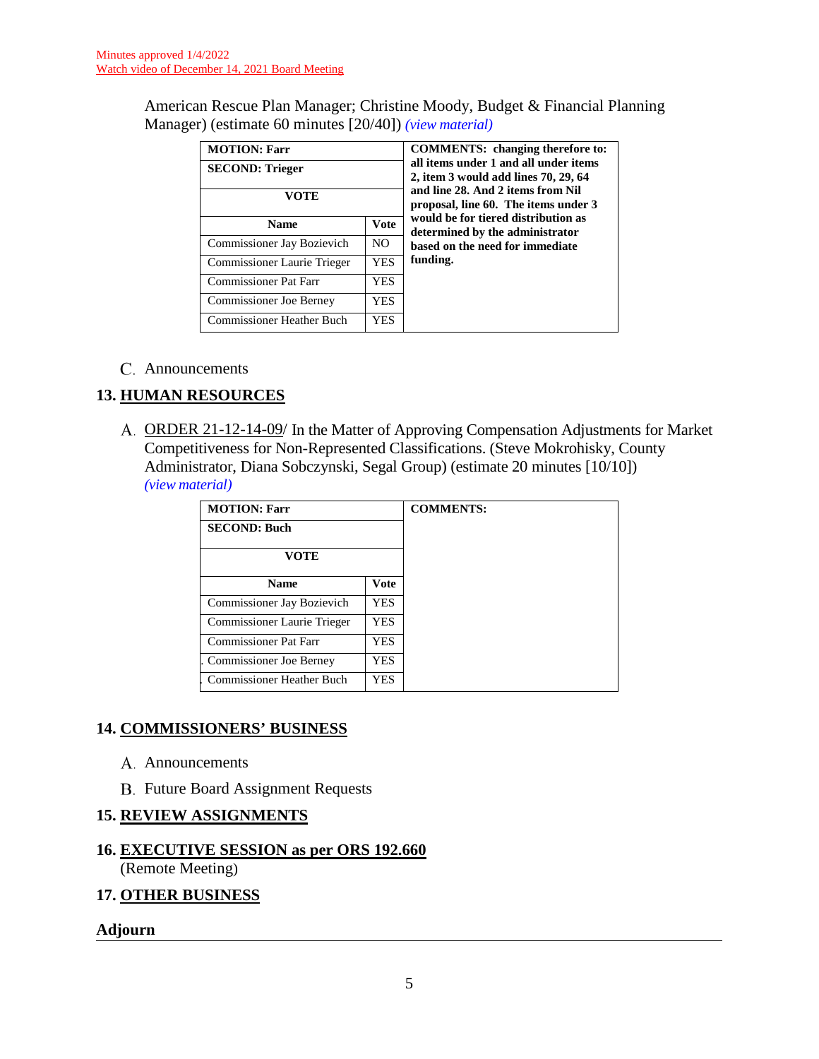American Rescue Plan Manager; Christine Moody, Budget & Financial Planning Manager) (estimate 60 minutes [20/40]) *(view [material\)](http://www.lanecountyor.gov/UserFiles/Servers/Server_3585797/File/Government/BCC/2021/2021_AGENDAS/121421agenda/T.12.B.pdf)*

| <b>MOTION: Farr</b><br><b>SECOND: Trieger</b> |             | <b>COMMENTS:</b> changing therefore to:<br>all items under 1 and all under items<br>2, item 3 would add lines 70, 29, 64<br>and line 28. And 2 items from Nil<br>proposal, line 60. The items under 3 |
|-----------------------------------------------|-------------|-------------------------------------------------------------------------------------------------------------------------------------------------------------------------------------------------------|
| VOTE                                          |             |                                                                                                                                                                                                       |
| <b>Name</b>                                   | <b>Vote</b> | would be for tiered distribution as<br>determined by the administrator                                                                                                                                |
| Commissioner Jay Bozievich                    | NO.         | based on the need for immediate                                                                                                                                                                       |
| Commissioner Laurie Trieger                   | YES         | funding.                                                                                                                                                                                              |
| <b>Commissioner Pat Farr</b>                  | YES         |                                                                                                                                                                                                       |
| <b>Commissioner Joe Berney</b>                | YES         |                                                                                                                                                                                                       |
| <b>Commissioner Heather Buch</b>              | YES         |                                                                                                                                                                                                       |

Announcements

### **13. HUMAN RESOURCES**

A. ORDER 21-12-14-09/ In the Matter of Approving Compensation Adjustments for Market Competitiveness for Non-Represented Classifications. (Steve Mokrohisky, County Administrator, Diana Sobczynski, Segal Group) (estimate 20 minutes [10/10]) *(view [material\)](http://www.lanecountyor.gov/UserFiles/Servers/Server_3585797/File/Government/BCC/2021/2021_AGENDAS/121421agenda/T.13.A.pdf)*

| <b>MOTION: Farr</b>              |             | <b>COMMENTS:</b> |
|----------------------------------|-------------|------------------|
| <b>SECOND: Buch</b>              |             |                  |
| <b>VOTE</b>                      |             |                  |
| <b>Name</b>                      | <b>Vote</b> |                  |
| Commissioner Jay Bozievich       | <b>YES</b>  |                  |
| Commissioner Laurie Trieger      | YES         |                  |
| <b>Commissioner Pat Farr</b>     | YES         |                  |
| Commissioner Joe Berney          | YES         |                  |
| <b>Commissioner Heather Buch</b> | YES         |                  |

#### **14. COMMISSIONERS' BUSINESS**

- A. Announcements
- **B.** Future Board Assignment Requests

### **15. REVIEW ASSIGNMENTS**

#### **16. EXECUTIVE SESSION as per ORS 192.660** (Remote Meeting)

#### **17. OTHER BUSINESS**

#### **Adjourn**